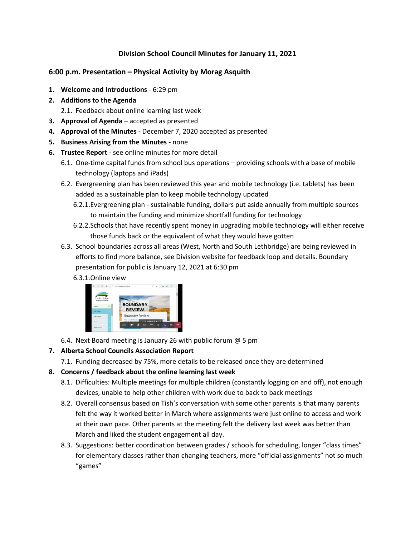# **Division School Council Minutes for January 11, 2021**

#### **6:00 p.m. Presentation – Physical Activity by Morag Asquith**

- **1. Welcome and Introductions** 6:29 pm
- **2. Additions to the Agenda**
	- 2.1. Feedback about online learning last week
- **3. Approval of Agenda** accepted as presented
- **4. Approval of the Minutes** December 7, 2020 accepted as presented
- **5. Business Arising from the Minutes -** none
- **6. Trustee Report**  see online minutes for more detail
	- 6.1. One-time capital funds from school bus operations providing schools with a base of mobile technology (laptops and iPads)
	- 6.2. Evergreening plan has been reviewed this year and mobile technology (i.e. tablets) has been added as a sustainable plan to keep mobile technology updated
		- 6.2.1.Evergreening plan sustainable funding, dollars put aside annually from multiple sources to maintain the funding and minimize shortfall funding for technology
		- 6.2.2.Schools that have recently spent money in upgrading mobile technology will either receive those funds back or the equivalent of what they would have gotten
	- 6.3. School boundaries across all areas (West, North and South Lethbridge) are being reviewed in efforts to find more balance, see Division website for feedback loop and details. Boundary presentation for public is January 12, 2021 at 6:30 pm

#### 6.3.1.Online view



6.4. Next Board meeting is January 26 with public forum @ 5 pm

# **7. Alberta School Councils Association Report**

7.1. Funding decreased by 75%, more details to be released once they are determined

# **8. Concerns / feedback about the online learning last week**

- 8.1. Difficulties: Multiple meetings for multiple children (constantly logging on and off), not enough devices, unable to help other children with work due to back to back meetings
- 8.2. Overall consensus based on Tish's conversation with some other parents is that many parents felt the way it worked better in March where assignments were just online to access and work at their own pace. Other parents at the meeting felt the delivery last week was better than March and liked the student engagement all day.
- 8.3. Suggestions: better coordination between grades / schools for scheduling, longer "class times" for elementary classes rather than changing teachers, more "official assignments" not so much "games"